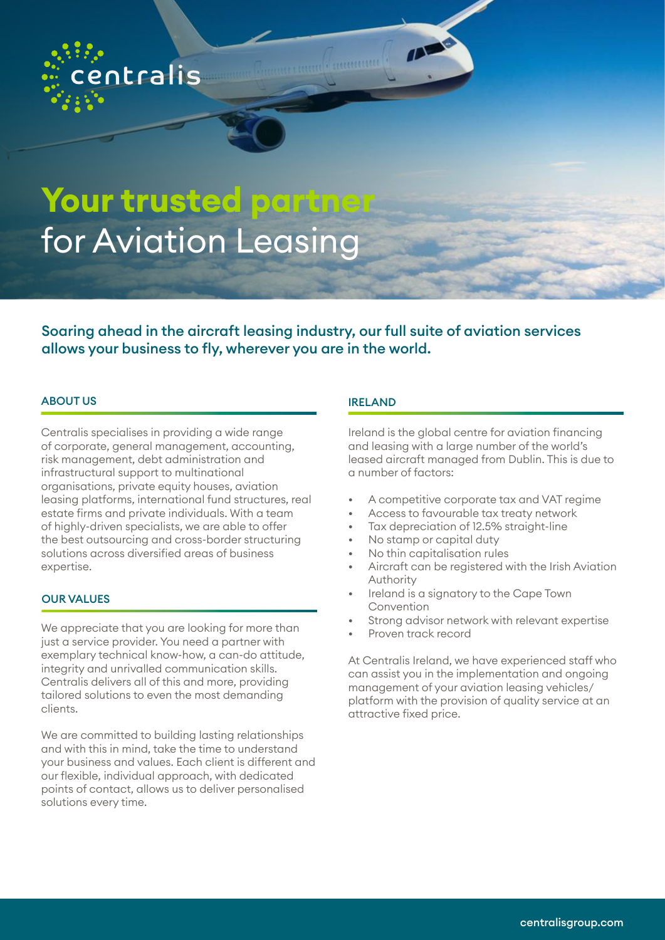

# Your trusted partne for Aviation Leasing

Soaring ahead in the aircraft leasing industry, our full suite of aviation services allows your business to fly, wherever you are in the world.

### ABOUT US ARE EXAMPLE TO A RELATED A RELATED AND LIRELAND

Centralis specialises in providing a wide range of corporate, general management, accounting, risk management, debt administration and infrastructural support to multinational organisations, private equity houses, aviation leasing platforms, international fund structures, real estate firms and private individuals. With a team of highly-driven specialists, we are able to offer the best outsourcing and cross-border structuring solutions across diversified areas of business expertise.

### OUR VALUES

We appreciate that you are looking for more than just a service provider. You need a partner with exemplary technical know-how, a can-do attitude, integrity and unrivalled communication skills. Centralis delivers all of this and more, providing tailored solutions to even the most demanding clients.

We are committed to building lasting relationships and with this in mind, take the time to understand your business and values. Each client is different and our flexible, individual approach, with dedicated points of contact, allows us to deliver personalised solutions every time.

accordings to

Ireland is the global centre for aviation financing and leasing with a large number of the world's leased aircraft managed from Dublin. This is due to a number of factors:

- A competitive corporate tax and VAT regime
- Access to favourable tax treaty network
- Tax depreciation of 12.5% straight-line
- No stamp or capital duty
- No thin capitalisation rules
- Aircraft can be registered with the Irish Aviation Authority
- Ireland is a signatory to the Cape Town Convention
- Strong advisor network with relevant expertise
- Proven track record

At Centralis Ireland, we have experienced staff who can assist you in the implementation and ongoing management of your aviation leasing vehicles/ platform with the provision of quality service at an attractive fixed price.